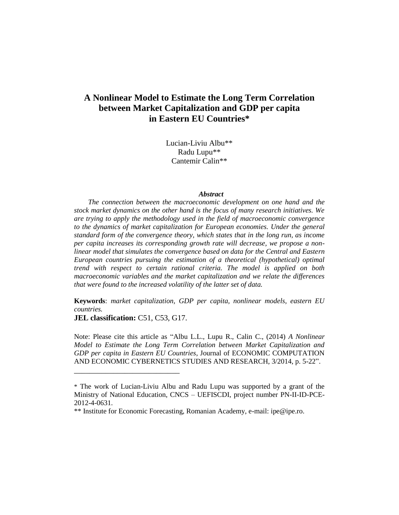Lucian-Liviu Albu\*\* Radu Lupu\*\* Cantemir Calin\*\*

#### *Abstract*

*The connection between the macroeconomic development on one hand and the stock market dynamics on the other hand is the focus of many research initiatives. We are trying to apply the methodology used in the field of macroeconomic convergence to the dynamics of market capitalization for European economies. Under the general standard form of the convergence theory, which states that in the long run, as income per capita increases its corresponding growth rate will decrease, we propose a nonlinear model that simulates the convergence based on data for the Central and Eastern European countries pursuing the estimation of a theoretical (hypothetical) optimal trend with respect to certain rational criteria. The model is applied on both macroeconomic variables and the market capitalization and we relate the differences that were found to the increased volatility of the latter set of data.*

**Keywords**: *market capitalization, GDP per capita, nonlinear models, eastern EU countries.*

**JEL classification:** C51, C53, G17.

\_\_\_\_\_\_\_\_\_\_\_\_\_\_\_\_\_\_\_\_\_\_\_\_\_\_\_

Note: Please cite this article as "Albu L.L., Lupu R., Calin C., (2014) *A Nonlinear Model to Estimate the Long Term Correlation between Market Capitalization and GDP per capita in Eastern EU Countries*, Journal of ECONOMIC COMPUTATION AND ECONOMIC CYBERNETICS STUDIES AND RESEARCH, 3/2014, p. 5-22".

<sup>\*</sup> The work of Lucian-Liviu Albu and Radu Lupu was supported by a grant of the Ministry of National Education, CNCS – UEFISCDI, project number PN-II-ID-PCE-2012-4-0631.

<sup>\*\*</sup> Institute for Economic Forecasting, Romanian Academy, e-mail: ipe@ipe.ro.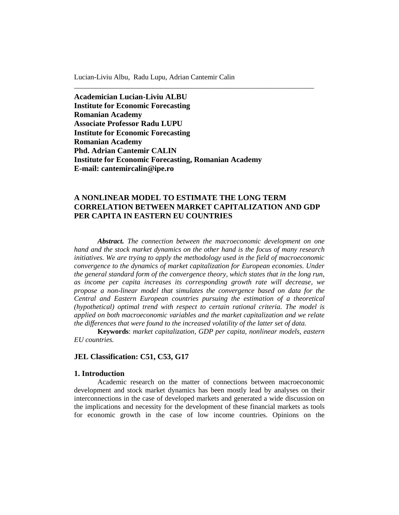**Academician Lucian-Liviu ALBU Institute for Economic Forecasting Romanian Academy Associate Professor Radu LUPU Institute for Economic Forecasting Romanian Academy Phd. Adrian Cantemir CALIN Institute for Economic Forecasting, Romanian Academy E-mail: cantemircalin@ipe.ro**

# **A NONLINEAR MODEL TO ESTIMATE THE LONG TERM CORRELATION BETWEEN MARKET CAPITALIZATION AND GDP PER CAPITA IN EASTERN EU COUNTRIES**

\_\_\_\_\_\_\_\_\_\_\_\_\_\_\_\_\_\_\_\_\_\_\_\_\_\_\_\_\_\_\_\_\_\_\_\_\_\_\_\_\_\_\_\_\_\_\_\_\_\_\_\_\_\_\_\_\_\_\_\_\_\_\_\_\_\_\_

*Abstract. The connection between the macroeconomic development on one hand and the stock market dynamics on the other hand is the focus of many research initiatives. We are trying to apply the methodology used in the field of macroeconomic convergence to the dynamics of market capitalization for European economies. Under the general standard form of the convergence theory, which states that in the long run, as income per capita increases its corresponding growth rate will decrease, we propose a non-linear model that simulates the convergence based on data for the Central and Eastern European countries pursuing the estimation of a theoretical (hypothetical) optimal trend with respect to certain rational criteria. The model is applied on both macroeconomic variables and the market capitalization and we relate the differences that were found to the increased volatility of the latter set of data.*

**Keywords**: *market capitalization, GDP per capita, nonlinear models, eastern EU countries.*

#### **JEL Classification: C51, C53, G17**

# **1. Introduction**

Academic research on the matter of connections between macroeconomic development and stock market dynamics has been mostly lead by analyses on their interconnections in the case of developed markets and generated a wide discussion on the implications and necessity for the development of these financial markets as tools for economic growth in the case of low income countries. Opinions on the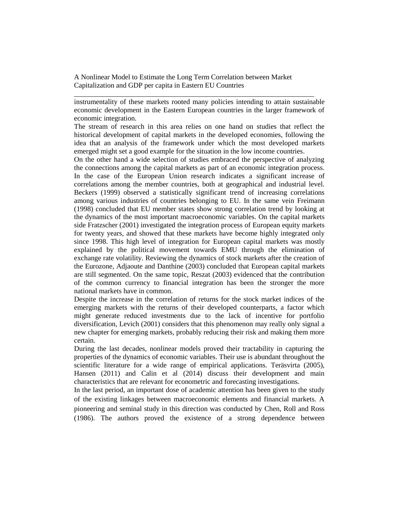instrumentality of these markets rooted many policies intending to attain sustainable economic development in the Eastern European countries in the larger framework of economic integration.

\_\_\_\_\_\_\_\_\_\_\_\_\_\_\_\_\_\_\_\_\_\_\_\_\_\_\_\_\_\_\_\_\_\_\_\_\_\_\_\_\_\_\_\_\_\_\_\_\_\_\_\_\_\_\_\_\_\_\_\_\_\_\_\_\_\_\_

The stream of research in this area relies on one hand on studies that reflect the historical development of capital markets in the developed economies, following the idea that an analysis of the framework under which the most developed markets emerged might set a good example for the situation in the low income countries.

On the other hand a wide selection of studies embraced the perspective of analyzing the connections among the capital markets as part of an economic integration process. In the case of the European Union research indicates a significant increase of correlations among the member countries, both at geographical and industrial level. Beckers (1999) observed a statistically significant trend of increasing correlations among various industries of countries belonging to EU. In the same vein Freimann (1998) concluded that EU member states show strong correlation trend by looking at the dynamics of the most important macroeconomic variables. On the capital markets side Fratzscher (2001) investigated the integration process of European equity markets for twenty years, and showed that these markets have become highly integrated only since 1998. This high level of integration for European capital markets was mostly explained by the political movement towards EMU through the elimination of exchange rate volatility. Reviewing the dynamics of stock markets after the creation of the Eurozone, Adjaoute and Danthine (2003) concluded that European capital markets are still segmented. On the same topic, Reszat (2003) evidenced that the contribution of the common currency to financial integration has been the stronger the more national markets have in common.

Despite the increase in the correlation of returns for the stock market indices of the emerging markets with the returns of their developed counterparts, a factor which might generate reduced investments due to the lack of incentive for portfolio diversification, Levich (2001) considers that this phenomenon may really only signal a new chapter for emerging markets, probably reducing their risk and making them more certain.

During the last decades, nonlinear models proved their tractability in capturing the properties of the dynamics of economic variables. Their use is abundant throughout the scientific literature for a wide range of empirical applications. Teräsvirta (2005), Hansen (2011) and Calin et al (2014) discuss their development and main characteristics that are relevant for econometric and forecasting investigations.

In the last period, an important dose of academic attention has been given to the study of the existing linkages between macroeconomic elements and financial markets. A pioneering and seminal study in this direction was conducted by Chen, Roll and Ross (1986). The authors proved the existence of a strong dependence between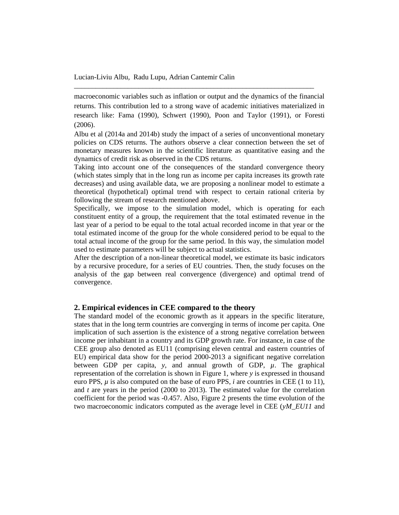macroeconomic variables such as inflation or output and the dynamics of the financial returns. This contribution led to a strong wave of academic initiatives materialized in research like: Fama (1990), Schwert (1990), Poon and Taylor (1991), or Foresti (2006).

\_\_\_\_\_\_\_\_\_\_\_\_\_\_\_\_\_\_\_\_\_\_\_\_\_\_\_\_\_\_\_\_\_\_\_\_\_\_\_\_\_\_\_\_\_\_\_\_\_\_\_\_\_\_\_\_\_\_\_\_\_\_\_\_\_\_\_

Albu et al (2014a and 2014b) study the impact of a series of unconventional monetary policies on CDS returns. The authors observe a clear connection between the set of monetary measures known in the scientific literature as quantitative easing and the dynamics of credit risk as observed in the CDS returns.

Taking into account one of the consequences of the standard convergence theory (which states simply that in the long run as income per capita increases its growth rate decreases) and using available data, we are proposing a nonlinear model to estimate a theoretical (hypothetical) optimal trend with respect to certain rational criteria by following the stream of research mentioned above.

Specifically, we impose to the simulation model, which is operating for each constituent entity of a group, the requirement that the total estimated revenue in the last year of a period to be equal to the total actual recorded income in that year or the total estimated income of the group for the whole considered period to be equal to the total actual income of the group for the same period. In this way, the simulation model used to estimate parameters will be subject to actual statistics.

After the description of a non-linear theoretical model, we estimate its basic indicators by a recursive procedure, for a series of EU countries. Then, the study focuses on the analysis of the gap between real convergence (divergence) and optimal trend of convergence.

# **2. Empirical evidences in CEE compared to the theory**

The standard model of the economic growth as it appears in the specific literature, states that in the long term countries are converging in terms of income per capita. One implication of such assertion is the existence of a strong negative correlation between income per inhabitant in a country and its GDP growth rate. For instance, in case of the CEE group also denoted as EU11 (comprising eleven central and eastern countries of EU) empirical data show for the period 2000-2013 a significant negative correlation between GDP per capita,  $y$ , and annual growth of GDP,  $\mu$ . The graphical representation of the correlation is shown in Figure 1, where *y* is expressed in thousand euro PPS, *µ* is also computed on the base of euro PPS, *i* are countries in CEE (1 to 11), and *t* are years in the period (2000 to 2013). The estimated value for the correlation coefficient for the period was -0.457. Also, Figure 2 presents the time evolution of the two macroeconomic indicators computed as the average level in CEE (*yM\_EU11* and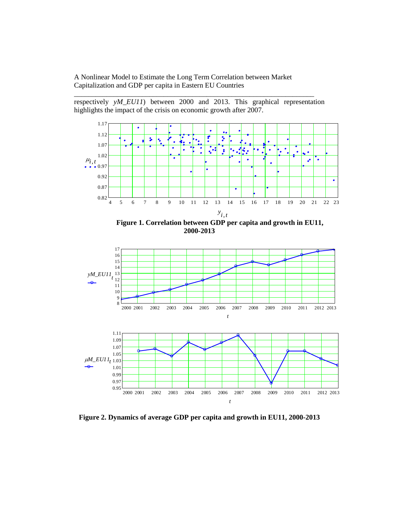respectively *yM\_EU11*) between 2000 and 2013. This graphical representation highlights the impact of the crisis on economic growth after 2007.

\_\_\_\_\_\_\_\_\_\_\_\_\_\_\_\_\_\_\_\_\_\_\_\_\_\_\_\_\_\_\_\_\_\_\_\_\_\_\_\_\_\_\_\_\_\_\_\_\_\_\_\_\_\_\_\_\_\_\_\_\_\_\_\_\_\_\_



 **Figure 1. Correlation between GDP per capita and growth in EU11, 2000-2013**



**Figure 2. Dynamics of average GDP per capita and growth in EU11, 2000-2013**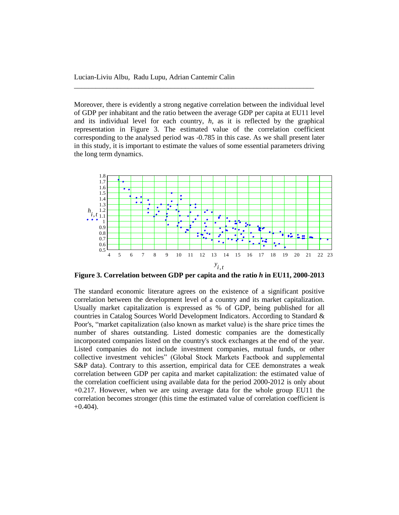Moreover, there is evidently a strong negative correlation between the individual level of GDP per inhabitant and the ratio between the average GDP per capita at EU11 level and its individual level for each country, *h*, as it is reflected by the graphical representation in Figure 3. The estimated value of the correlation coefficient corresponding to the analysed period was -0.785 in this case. As we shall present later in this study, it is important to estimate the values of some essential parameters driving the long term dynamics.

\_\_\_\_\_\_\_\_\_\_\_\_\_\_\_\_\_\_\_\_\_\_\_\_\_\_\_\_\_\_\_\_\_\_\_\_\_\_\_\_\_\_\_\_\_\_\_\_\_\_\_\_\_\_\_\_\_\_\_\_\_\_\_\_\_\_\_



**Figure 3. Correlation between GDP per capita and the ratio** *h* **in EU11, 2000-2013**

The standard economic literature agrees on the existence of a significant positive correlation between the development level of a country and its market capitalization. Usually market capitalization is expressed as % of GDP, being published for all countries in Catalog Sources World Development Indicators. According to Standard & Poor's, "market capitalization (also known as market value) is the share price times the number of shares outstanding. Listed domestic companies are the domestically incorporated companies listed on the country's stock exchanges at the end of the year. Listed companies do not include investment companies, mutual funds, or other collective investment vehicles" (Global Stock Markets Factbook and supplemental S&P data). Contrary to this assertion, empirical data for CEE demonstrates a weak correlation between GDP per capita and market capitalization: the estimated value of the correlation coefficient using available data for the period 2000-2012 is only about +0.217. However, when we are using average data for the whole group EU11 the correlation becomes stronger (this time the estimated value of correlation coefficient is  $+0.404$ ).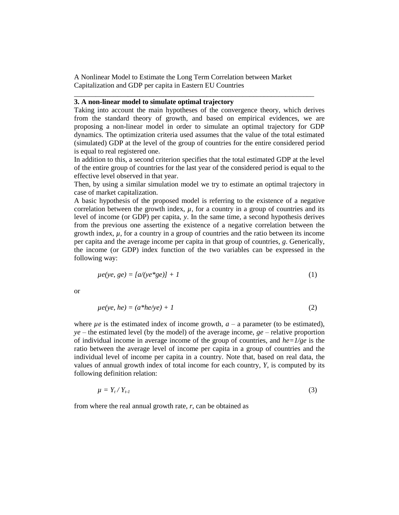#### **3. A non-linear model to simulate optimal trajectory**

Taking into account the main hypotheses of the convergence theory, which derives from the standard theory of growth, and based on empirical evidences, we are proposing a non-linear model in order to simulate an optimal trajectory for GDP dynamics. The optimization criteria used assumes that the value of the total estimated (simulated) GDP at the level of the group of countries for the entire considered period is equal to real registered one.

\_\_\_\_\_\_\_\_\_\_\_\_\_\_\_\_\_\_\_\_\_\_\_\_\_\_\_\_\_\_\_\_\_\_\_\_\_\_\_\_\_\_\_\_\_\_\_\_\_\_\_\_\_\_\_\_\_\_\_\_\_\_\_\_\_\_\_

In addition to this, a second criterion specifies that the total estimated GDP at the level of the entire group of countries for the last year of the considered period is equal to the effective level observed in that year.

Then, by using a similar simulation model we try to estimate an optimal trajectory in case of market capitalization.

A basic hypothesis of the proposed model is referring to the existence of a negative correlation between the growth index,  $\mu$ , for a country in a group of countries and its level of income (or GDP) per capita, *y*. In the same time, a second hypothesis derives from the previous one asserting the existence of a negative correlation between the growth index, *µ*, for a country in a group of countries and the ratio between its income per capita and the average income per capita in that group of countries, *g*. Generically, the income (or GDP) index function of the two variables can be expressed in the following way:

$$
\mu e(ye, ge) = [a/(ye^*ge)] + 1 \tag{1}
$$

or

$$
\mu e(ye, he) = (a^*he/ye) + 1 \tag{2}
$$

where  $\mu e$  is the estimated index of income growth,  $a - a$  parameter (to be estimated),  $ye$  – the estimated level (by the model) of the average income,  $ge$  – relative proportion of individual income in average income of the group of countries, and  $he=1/ge$  is the ratio between the average level of income per capita in a group of countries and the individual level of income per capita in a country. Note that, based on real data, the values of annual growth index of total income for each country, *Y*, is computed by its following definition relation:

$$
\mu = Y_t / Y_{t \cdot l} \tag{3}
$$

from where the real annual growth rate, *r*, can be obtained as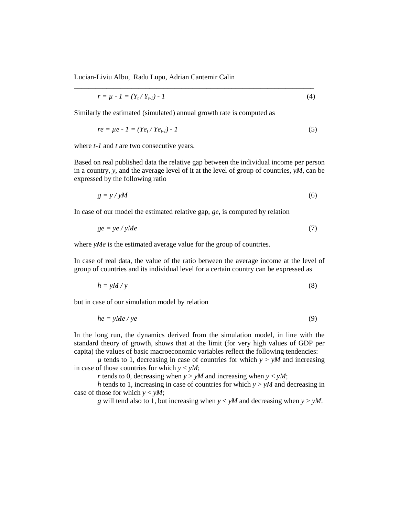$$
r = \mu - 1 = (Y_t / Y_{t-1}) - 1 \tag{4}
$$

\_\_\_\_\_\_\_\_\_\_\_\_\_\_\_\_\_\_\_\_\_\_\_\_\_\_\_\_\_\_\_\_\_\_\_\_\_\_\_\_\_\_\_\_\_\_\_\_\_\_\_\_\_\_\_\_\_\_\_\_\_\_\_\_\_\_\_

Similarly the estimated (simulated) annual growth rate is computed as

$$
re = \mu e - 1 = (Ye_t / Ye_{t-1}) - 1
$$
 (5)

where *t-1* and *t* are two consecutive years.

Based on real published data the relative gap between the individual income per person in a country, *y*, and the average level of it at the level of group of countries, *yM*, can be expressed by the following ratio

$$
g = y / yM \tag{6}
$$

In case of our model the estimated relative gap, *ge*, is computed by relation

$$
ge = ye / yMe
$$
 (7)

where *yMe* is the estimated average value for the group of countries.

In case of real data, the value of the ratio between the average income at the level of group of countries and its individual level for a certain country can be expressed as

$$
h = yM/y \tag{8}
$$

but in case of our simulation model by relation

$$
he = yMe / ye
$$
 (9)

In the long run, the dynamics derived from the simulation model, in line with the standard theory of growth, shows that at the limit (for very high values of GDP per capita) the values of basic macroeconomic variables reflect the following tendencies:

 $\mu$  tends to 1, decreasing in case of countries for which  $y > yM$  and increasing in case of those countries for which  $y < yM$ ;

*r* tends to 0, decreasing when  $y > yM$  and increasing when  $y < yM$ ;

*h* tends to 1, increasing in case of countries for which *y* > *yM* and decreasing in case of those for which  $y < yM$ ;

*g* will tend also to 1, but increasing when *y* < *yM* and decreasing when *y* > *yM*.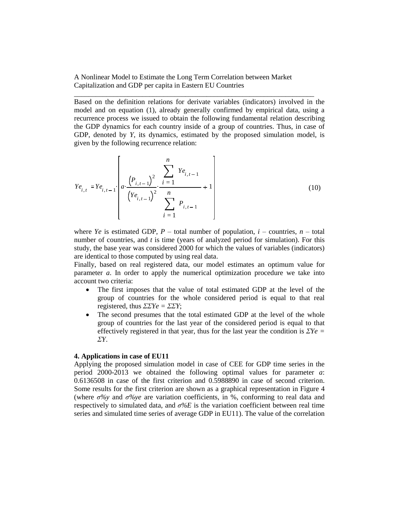Based on the definition relations for derivate variables (indicators) involved in the model and on equation (1), already generally confirmed by empirical data, using a recurrence process we issued to obtain the following fundamental relation describing the GDP dynamics for each country inside of a group of countries. Thus, in case of GDP, denoted by *Y*, its dynamics, estimated by the proposed simulation model, is given by the following recurrence relation:

\_\_\_\_\_\_\_\_\_\_\_\_\_\_\_\_\_\_\_\_\_\_\_\_\_\_\_\_\_\_\_\_\_\_\_\_\_\_\_\_\_\_\_\_\_\_\_\_\_\_\_\_\_\_\_\_\_\_\_\_\_\_\_\_\_\_\_

$$
Ye_{i,t} := Ye_{i,t-1} \left[ a \cdot \frac{\left( P_{i,t-1} \right)^2}{\left( Ye_{i,t-1} \right)^2} \cdot \frac{\sum_{i=1}^n Ye_{i,t-1}}{\sum_{i=1}^n P_{i,t-1}} + 1 \right]
$$
(10)

where *Ye* is estimated GDP,  $P$  – total number of population,  $i$  – countries,  $n$  – total number of countries, and *t* is time (years of analyzed period for simulation). For this study, the base year was considered 2000 for which the values of variables (indicators) are identical to those computed by using real data.

Finally, based on real registered data, our model estimates an optimum value for parameter *a*. In order to apply the numerical optimization procedure we take into account two criteria:

- The first imposes that the value of total estimated GDP at the level of the group of countries for the whole considered period is equal to that real registered, thus *ΣΣYe = ΣΣY*;
- The second presumes that the total estimated GDP at the level of the whole group of countries for the last year of the considered period is equal to that effectively registered in that year, thus for the last year the condition is *ΣYe = ΣY*.

# **4. Applications in case of EU11**

Applying the proposed simulation model in case of CEE for GDP time series in the period 2000-2013 we obtained the following optimal values for parameter *a*: 0.6136508 in case of the first criterion and 0.5988890 in case of second criterion. Some results for the first criterion are shown as a graphical representation in Figure 4 (where *σ%y* and *σ%ye* are variation coefficients, in %, conforming to real data and respectively to simulated data, and *σ%E* is the variation coefficient between real time series and simulated time series of average GDP in EU11). The value of the correlation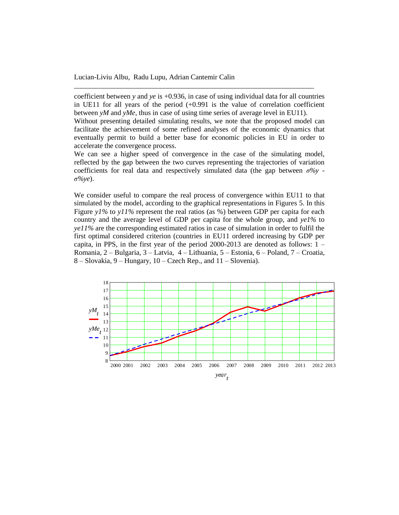coefficient between *y* and *ye* is +0.936, in case of using individual data for all countries in UE11 for all years of the period  $(+0.991)$  is the value of correlation coefficient between *yM* and *yMe*, thus in case of using time series of average level in EU11).

\_\_\_\_\_\_\_\_\_\_\_\_\_\_\_\_\_\_\_\_\_\_\_\_\_\_\_\_\_\_\_\_\_\_\_\_\_\_\_\_\_\_\_\_\_\_\_\_\_\_\_\_\_\_\_\_\_\_\_\_\_\_\_\_\_\_\_

Without presenting detailed simulating results, we note that the proposed model can facilitate the achievement of some refined analyses of the economic dynamics that eventually permit to build a better base for economic policies in EU in order to accelerate the convergence process.

We can see a higher speed of convergence in the case of the simulating model, reflected by the gap between the two curves representing the trajectories of variation coefficients for real data and respectively simulated data (the gap between  $\sigma\%$ ) *σ%ye*).

We consider useful to compare the real process of convergence within EU11 to that simulated by the model, according to the graphical representations in Figures 5. In this Figure *y1%* to *y11%* represent the real ratios (as %) between GDP per capita for each country and the average level of GDP per capita for the whole group, and *ye1%* to *ye11%* are the corresponding estimated ratios in case of simulation in order to fulfil the first optimal considered criterion (countries in EU11 ordered increasing by GDP per capita, in PPS, in the first year of the period  $2000-2013$  are denoted as follows:  $1 -$ Romania, 2 – Bulgaria, 3 – Latvia, 4 – Lithuania, 5 – Estonia, 6 – Poland, 7 – Croatia, 8 – Slovakia, 9 – Hungary, 10 – Czech Rep., and 11 – Slovenia).

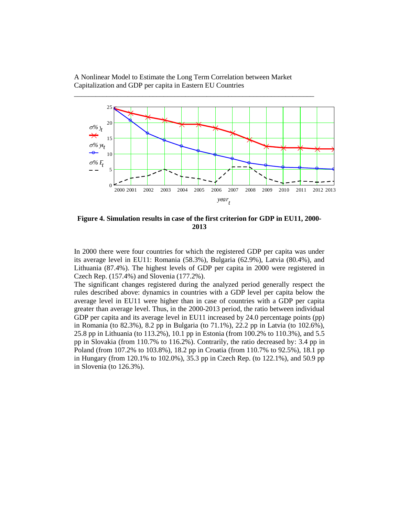

**Figure 4. Simulation results in case of the first criterion for GDP in EU11, 2000- 2013**

In 2000 there were four countries for which the registered GDP per capita was under its average level in EU11: Romania (58.3%), Bulgaria (62.9%), Latvia (80.4%), and Lithuania (87.4%). The highest levels of GDP per capita in 2000 were registered in Czech Rep. (157.4%) and Slovenia (177.2%).

The significant changes registered during the analyzed period generally respect the rules described above: dynamics in countries with a GDP level per capita below the average level in EU11 were higher than in case of countries with a GDP per capita greater than average level. Thus, in the 2000-2013 period, the ratio between individual GDP per capita and its average level in EU11 increased by 24.0 percentage points (pp) in Romania (to 82.3%), 8.2 pp in Bulgaria (to 71.1%), 22.2 pp in Latvia (to 102.6%), 25.8 pp in Lithuania (to 113.2%), 10.1 pp in Estonia (from 100.2% to 110.3%), and 5.5 pp in Slovakia (from 110.7% to 116.2%). Contrarily, the ratio decreased by: 3.4 pp in Poland (from 107.2% to 103.8%), 18.2 pp in Croatia (from 110.7% to 92.5%), 18.1 pp in Hungary (from 120.1% to 102.0%), 35.3 pp in Czech Rep. (to 122.1%), and 50.9 pp in Slovenia (to 126.3%).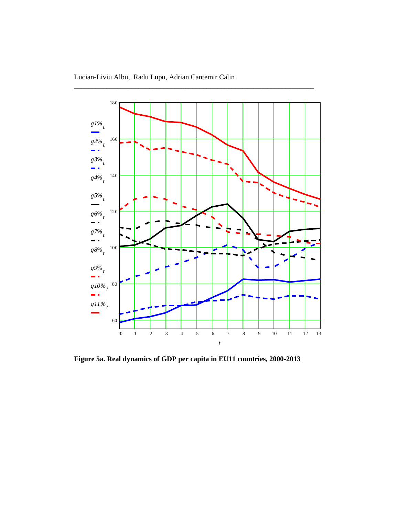

**Figure 5a. Real dynamics of GDP per capita in EU11 countries, 2000-2013**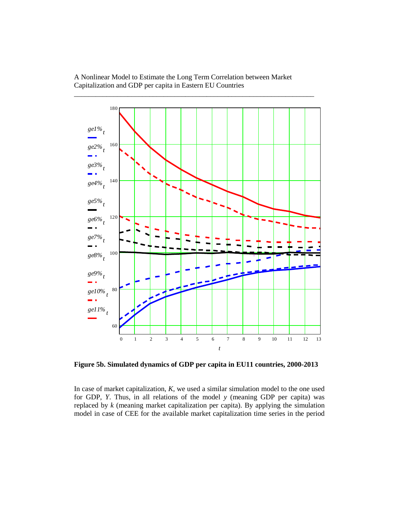

**Figure 5b. Simulated dynamics of GDP per capita in EU11 countries, 2000-2013**

In case of market capitalization, *K*, we used a similar simulation model to the one used for GDP, *Y*. Thus, in all relations of the model *y* (meaning GDP per capita) was replaced by *k* (meaning market capitalization per capita). By applying the simulation model in case of CEE for the available market capitalization time series in the period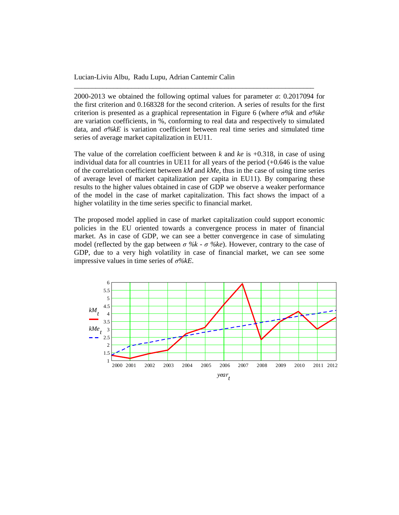2000-2013 we obtained the following optimal values for parameter *a*: 0.2017094 for the first criterion and 0.168328 for the second criterion. A series of results for the first criterion is presented as a graphical representation in Figure 6 (where *σ%k* and *σ%ke* are variation coefficients, in %, conforming to real data and respectively to simulated data, and *σ%kE* is variation coefficient between real time series and simulated time series of average market capitalization in EU11.

\_\_\_\_\_\_\_\_\_\_\_\_\_\_\_\_\_\_\_\_\_\_\_\_\_\_\_\_\_\_\_\_\_\_\_\_\_\_\_\_\_\_\_\_\_\_\_\_\_\_\_\_\_\_\_\_\_\_\_\_\_\_\_\_\_\_\_

The value of the correlation coefficient between *k* and *ke* is +0.318, in case of using individual data for all countries in UE11 for all years of the period  $(+0.646$  is the value of the correlation coefficient between *kM* and *kMe*, thus in the case of using time series of average level of market capitalization per capita in EU11). By comparing these results to the higher values obtained in case of GDP we observe a weaker performance of the model in the case of market capitalization. This fact shows the impact of a higher volatility in the time series specific to financial market.

The proposed model applied in case of market capitalization could support economic policies in the EU oriented towards a convergence process in mater of financial market. As in case of GDP, we can see a better convergence in case of simulating model (reflected by the gap between  $\sigma$  %k -  $\sigma$  %ke). However, contrary to the case of GDP, due to a very high volatility in case of financial market, we can see some impressive values in time series of *σ%kE*.

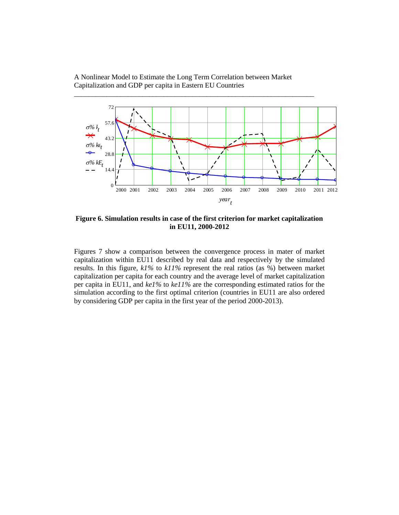

**Figure 6. Simulation results in case of the first criterion for market capitalization in EU11, 2000-2012**

Figures 7 show a comparison between the convergence process in mater of market capitalization within EU11 described by real data and respectively by the simulated results. In this figure, *k1%* to *k11%* represent the real ratios (as %) between market capitalization per capita for each country and the average level of market capitalization per capita in EU11, and *ke1%* to *ke11%* are the corresponding estimated ratios for the simulation according to the first optimal criterion (countries in EU11 are also ordered by considering GDP per capita in the first year of the period 2000-2013).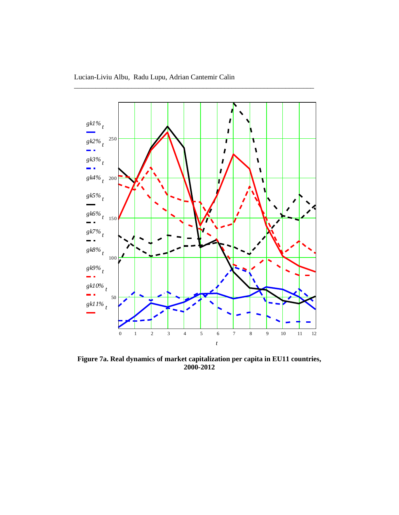

**Figure 7a. Real dynamics of market capitalization per capita in EU11 countries, 2000-2012**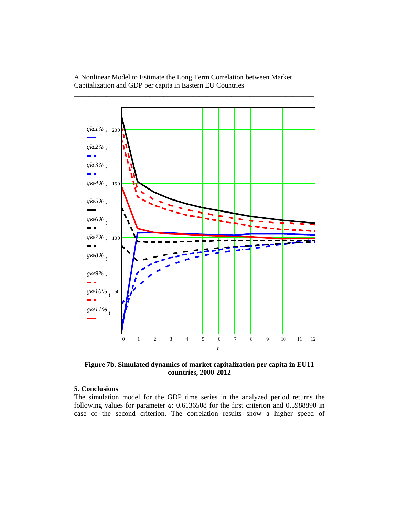

**Figure 7b. Simulated dynamics of market capitalization per capita in EU11 countries, 2000-2012**

# **5. Conclusions**

The simulation model for the GDP time series in the analyzed period returns the following values for parameter *a*: 0.6136508 for the first criterion and 0.5988890 in case of the second criterion. The correlation results show a higher speed of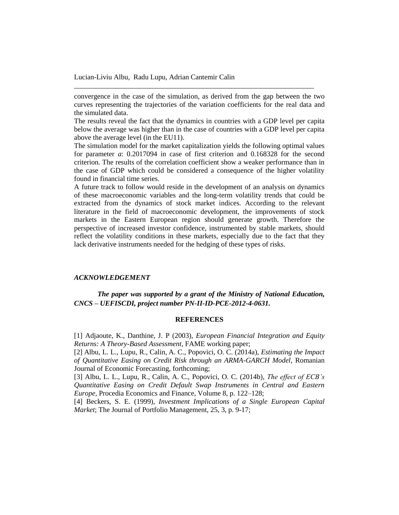convergence in the case of the simulation, as derived from the gap between the two curves representing the trajectories of the variation coefficients for the real data and the simulated data.

\_\_\_\_\_\_\_\_\_\_\_\_\_\_\_\_\_\_\_\_\_\_\_\_\_\_\_\_\_\_\_\_\_\_\_\_\_\_\_\_\_\_\_\_\_\_\_\_\_\_\_\_\_\_\_\_\_\_\_\_\_\_\_\_\_\_\_

The results reveal the fact that the dynamics in countries with a GDP level per capita below the average was higher than in the case of countries with a GDP level per capita above the average level (in the EU11).

The simulation model for the market capitalization yields the following optimal values for parameter *a*: 0.2017094 in case of first criterion and 0.168328 for the second criterion. The results of the correlation coefficient show a weaker performance than in the case of GDP which could be considered a consequence of the higher volatility found in financial time series.

A future track to follow would reside in the development of an analysis on dynamics of these macroeconomic variables and the long-term volatility trends that could be extracted from the dynamics of stock market indices. According to the relevant literature in the field of macroeconomic development, the improvements of stock markets in the Eastern European region should generate growth. Therefore the perspective of increased investor confidence, instrumented by stable markets, should reflect the volatility conditions in these markets, especially due to the fact that they lack derivative instruments needed for the hedging of these types of risks.

### *ACKNOWLEDGEMENT*

*The paper was supported by a grant of the Ministry of National Education, CNCS – UEFISCDI, project number PN-II-ID-PCE-2012-4-0631.*

#### **REFERENCES**

[1] Adjaoute, K., Danthine, J. P (2003), *European Financial Integration and Equity Returns: A Theory-Based Assessment*, FAME working paper;

[2] Albu, L. L., Lupu, R., Calin, A. C., Popovici, O. C. (2014a), *Estimating the Impact of Quantitative Easing on Credit Risk through an ARMA-GARCH Model*, Romanian Journal of Economic Forecasting, forthcoming;

[3] Albu, L. L., Lupu, R., Calin, A. C., Popovici, O. C. (2014b), *The effect of ECB's Quantitative Easing on Credit Default Swap Instruments in Central and Eastern Europe,* Procedia Economics and Finance, Volume 8, p. 122–128;

[4] Beckers, S. E. (1999), *Investment Implications of a Single European Capital Market*; The Journal of Portfolio Management, 25, 3, p. 9-17;